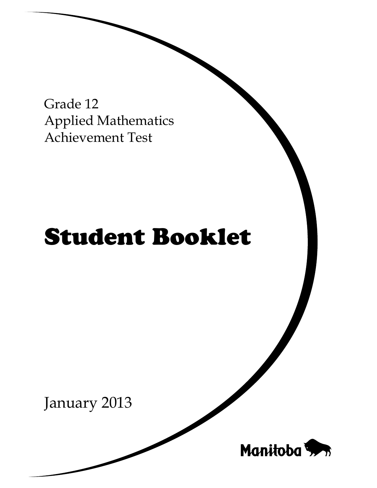Grade 12 Applied Mathematics Achievement Test

# Student Booklet

January 2013

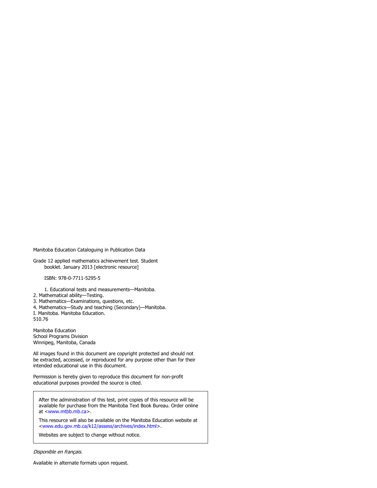Manitoba Education Cataloguing in Publication Data

Grade 12 applied mathematics achievement test. Student booklet. January 2013 [electronic resource]

ISBN: 978-0-7711-5295-5

1. Educational tests and measurements—Manitoba.

2. Mathematical ability—Testing.

- 3. Mathematics—Examinations, questions, etc.
- 4. Mathematics—Study and teaching (Secondary)—Manitoba.
- I. Manitoba. Manitoba Education.

510.76

Manitoba Education School Programs Division Winnipeg, Manitoba, Canada

All images found in this document are copyright protected and should not be extracted, accessed, or reproduced for any purpose other than for their intended educational use in this document.

Permission is hereby given to reproduce this document for non-profit educational purposes provided the source is cited.

After the administration of this test, print copies of this resource will be available for purchase from the Manitoba Text Book Bureau. Order online at <www.mtbb.mb.ca>.

This resource will also be available on the Manitoba Education website at <www.edu.gov.mb.ca/k12/assess/archives/index.html>.

Websites are subject to change without notice.

Disponible en français.

Available in alternate formats upon request.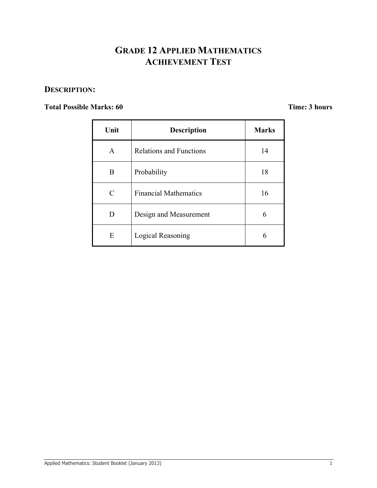# **GRADE 12 APPLIED MATHEMATICS ACHIEVEMENT TEST**

### **DESCRIPTION:**

### **Total Possible Marks: 60 Time: 3 hours**

| Unit         | <b>Description</b>             | <b>Marks</b> |
|--------------|--------------------------------|--------------|
| $\mathsf{A}$ | <b>Relations and Functions</b> | 14           |
| B            | Probability                    | 18           |
| C            | <b>Financial Mathematics</b>   | 16           |
| D            | Design and Measurement         | 6            |
| E            | <b>Logical Reasoning</b>       | 6            |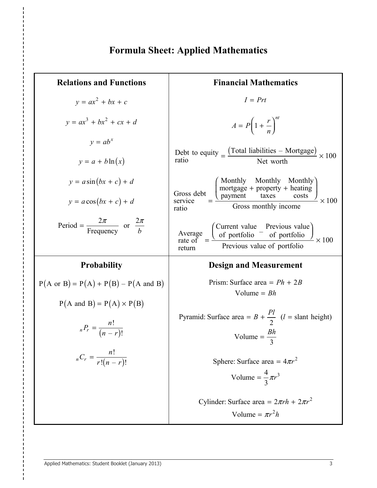# **Formula Sheet: Applied Mathematics**

| <b>Relations and Functions</b>                                            | <b>Financial Mathematics</b>                                                                                                                                                                                                                                 |  |  |  |
|---------------------------------------------------------------------------|--------------------------------------------------------------------------------------------------------------------------------------------------------------------------------------------------------------------------------------------------------------|--|--|--|
| $v = ax^2 + bx + c$                                                       | $I = Prt$                                                                                                                                                                                                                                                    |  |  |  |
| $v = ax^3 + bx^2 + cx + d$                                                | $A = P\left(1 + \frac{r}{n}\right)^m$                                                                                                                                                                                                                        |  |  |  |
| $y = ab^x$<br>$y = a + b \ln(x)$                                          | Debt to equity $=$ $\frac{(Total liabilities - Mortrage)}{Net worth} \times 100$                                                                                                                                                                             |  |  |  |
| $y = a \sin(bx + c) + d$<br>$y = a\cos(bx + c) + d$                       | Gross debt $\frac{\left(\begin{array}{cc}\text{Monthly} & \text{Monthly} & \text{Monthly} \\ \text{mortgage} + \text{property} + \text{heating} \\ \text{service} & \text{Gross} & \text{costs} \end{array}\right)}{\text{Gross monthly income}} \times 100$ |  |  |  |
| Period = $\frac{2\pi}{\text{Frequency}}$ or $\frac{2\pi}{b}$              | ratio<br>Average $\frac{\text{Current value}}{\text{of portfolio}} = \frac{\text{Previous value}}{\text{Previous value of portfolio}}$<br>$\frac{1}{2} \times 100$<br>return                                                                                 |  |  |  |
|                                                                           |                                                                                                                                                                                                                                                              |  |  |  |
| <b>Probability</b>                                                        | <b>Design and Measurement</b>                                                                                                                                                                                                                                |  |  |  |
| $P(A \text{ or } B) = P(A) + P(B) - P(A \text{ and } B)$                  | Prism: Surface area = $Ph + 2B$                                                                                                                                                                                                                              |  |  |  |
| $P(A \text{ and } B) = P(A) \times P(B)$<br>$_{n}P_{r}=\frac{n!}{(n-r)!}$ | Volume = $Bh$<br>Pyramid: Surface area = $B + \frac{Pl}{2}$ ( <i>l</i> = slant height)<br>Volume = $\frac{Bh}{3}$                                                                                                                                            |  |  |  |
| $_{n}C_{r} = \frac{n!}{r!(n-r)!}$                                         | Sphere: Surface area = $4\pi r^2$                                                                                                                                                                                                                            |  |  |  |
|                                                                           | Volume = $\frac{4}{3}\pi r^3$                                                                                                                                                                                                                                |  |  |  |
|                                                                           | Cylinder: Surface area = $2\pi rh + 2\pi r^2$<br>Volume = $\pi r^2 h$                                                                                                                                                                                        |  |  |  |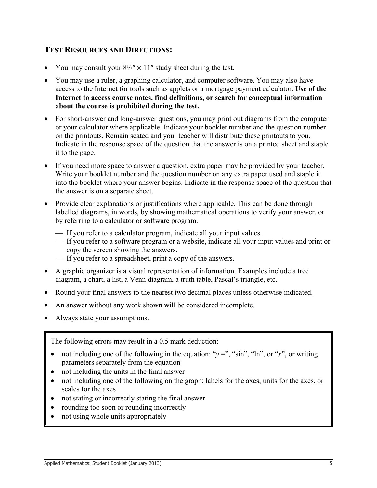### **TEST RESOURCES AND DIRECTIONS:**

- You may consult your  $8\frac{1}{2}$ " × 11" study sheet during the test.
- You may use a ruler, a graphing calculator, and computer software. You may also have access to the Internet for tools such as applets or a mortgage payment calculator. **Use of the Internet to access course notes, find definitions, or search for conceptual information about the course is prohibited during the test.**
- For short-answer and long-answer questions, you may print out diagrams from the computer or your calculator where applicable. Indicate your booklet number and the question number on the printouts. Remain seated and your teacher will distribute these printouts to you. Indicate in the response space of the question that the answer is on a printed sheet and staple it to the page.
- If you need more space to answer a question, extra paper may be provided by your teacher. Write your booklet number and the question number on any extra paper used and staple it into the booklet where your answer begins. Indicate in the response space of the question that the answer is on a separate sheet.
- Provide clear explanations or justifications where applicable. This can be done through labelled diagrams, in words, by showing mathematical operations to verify your answer, or by referring to a calculator or software program.
	- If you refer to a calculator program, indicate all your input values.
	- If you refer to a software program or a website, indicate all your input values and print or copy the screen showing the answers.
	- If you refer to a spreadsheet, print a copy of the answers.
- A graphic organizer is a visual representation of information. Examples include a tree diagram, a chart, a list, a Venn diagram, a truth table, Pascal's triangle, etc.
- Round your final answers to the nearest two decimal places unless otherwise indicated.
- An answer without any work shown will be considered incomplete.
- Always state your assumptions.

The following errors may result in a 0.5 mark deduction:

- not including one of the following in the equation: " $y =$ ", "sin", "ln", or "*x*", or writing parameters separately from the equation
- not including the units in the final answer
- not including one of the following on the graph: labels for the axes, units for the axes, or scales for the axes
- not stating or incorrectly stating the final answer
- rounding too soon or rounding incorrectly
- not using whole units appropriately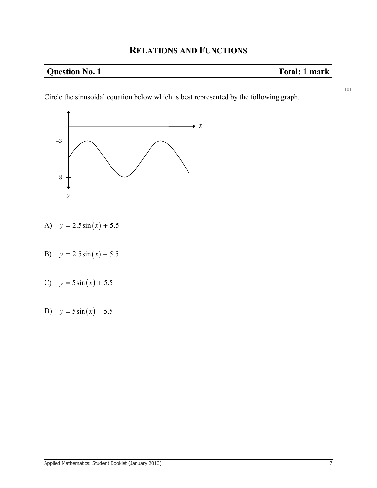### **Question No. 1** Total: 1 mark

101

Circle the sinusoidal equation below which is best represented by the following graph.



- A)  $y = 2.5 \sin(x) + 5.5$
- B)  $y = 2.5 \sin(x) 5.5$
- C)  $y = 5\sin(x) + 5.5$
- D)  $y = 5\sin(x) 5.5$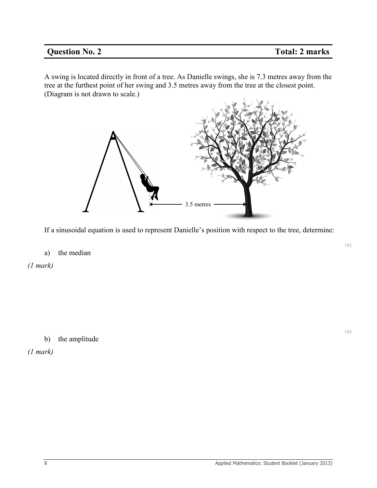### **Question No. 2 Total: 2 marks**

A swing is located directly in front of a tree. As Danielle swings, she is 7.3 metres away from the tree at the furthest point of her swing and 3.5 metres away from the tree at the closest point. (Diagram is not drawn to scale.)



If a sinusoidal equation is used to represent Danielle's position with respect to the tree, determine:

### a) the median

*(1 mark)*

b) the amplitude

*(1 mark)*

102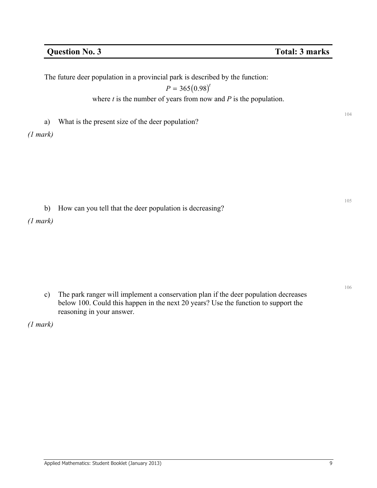104

105

106

The future deer population in a provincial park is described by the function:

 $P = 365 (0.98)^t$ 

where *t* is the number of years from now and *P* is the population.

a) What is the present size of the deer population?

*(1 mark)* 

b) How can you tell that the deer population is decreasing?

*(1 mark)* 

c) The park ranger will implement a conservation plan if the deer population decreases below 100. Could this happen in the next 20 years? Use the function to support the reasoning in your answer.

*(1 mark)*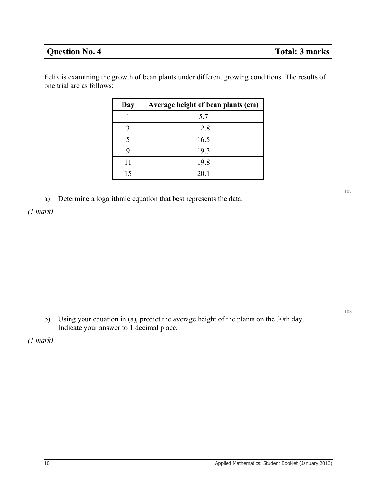### **Question No. 4** Total: 3 marks

Felix is examining the growth of bean plants under different growing conditions. The results of one trial are as follows:

| Day | Average height of bean plants (cm) |  |  |
|-----|------------------------------------|--|--|
|     | 5.7                                |  |  |
|     | 12.8                               |  |  |
| 5   | 16.5                               |  |  |
| y   | 19.3                               |  |  |
| 11  | 19.8                               |  |  |
| 15  | 20.1                               |  |  |

a) Determine a logarithmic equation that best represents the data.

*(1 mark)* 

b) Using your equation in (a), predict the average height of the plants on the 30th day. Indicate your answer to 1 decimal place.

*(1 mark)* 

107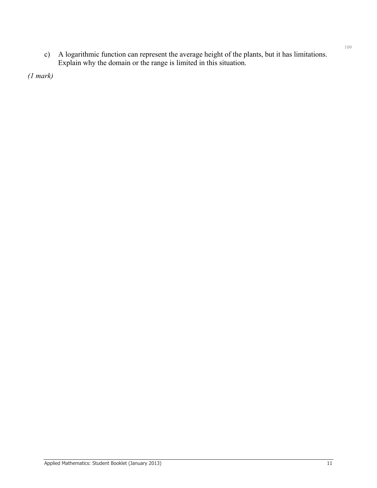c) A logarithmic function can represent the average height of the plants, but it has limitations. Explain why the domain or the range is limited in this situation.

*(1 mark)*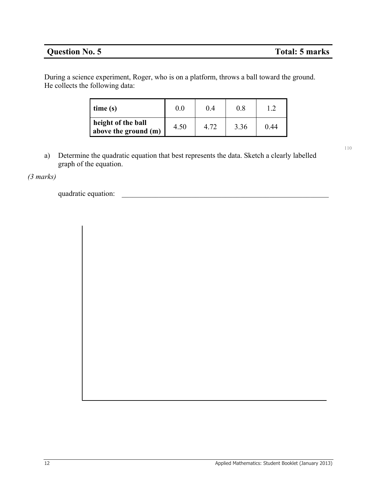### **Question No. 5 Total: 5 marks**

110

During a science experiment, Roger, who is on a platform, throws a ball toward the ground. He collects the following data:

| time(s)                                    | 0.0  | 0.4  | 0.8  |      |
|--------------------------------------------|------|------|------|------|
| height of the ball<br>above the ground (m) | 4.50 | 4 72 | 3.36 | 0 44 |

a) Determine the quadratic equation that best represents the data. Sketch a clearly labelled graph of the equation.

*(3 marks)* 

quadratic equation: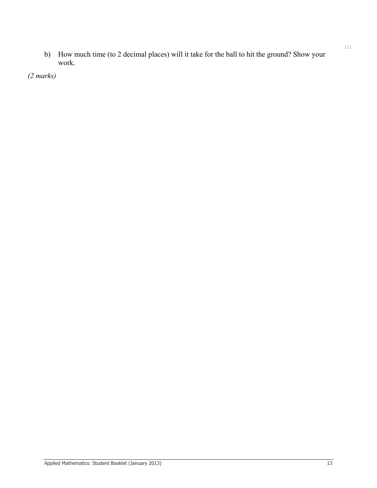b) How much time (to 2 decimal places) will it take for the ball to hit the ground? Show your work.

*(2 marks)*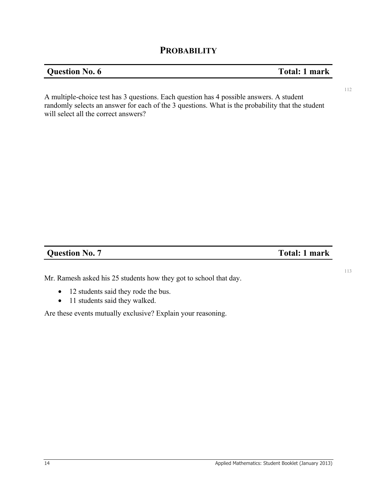### **PROBABILITY**

### **Question No. 6 Total: 1 mark**

113

A multiple-choice test has 3 questions. Each question has 4 possible answers. A student randomly selects an answer for each of the 3 questions. What is the probability that the student will select all the correct answers?

### **Question No. 7** Total: 1 mark

Mr. Ramesh asked his 25 students how they got to school that day.

- 12 students said they rode the bus.
- 11 students said they walked.

Are these events mutually exclusive? Explain your reasoning.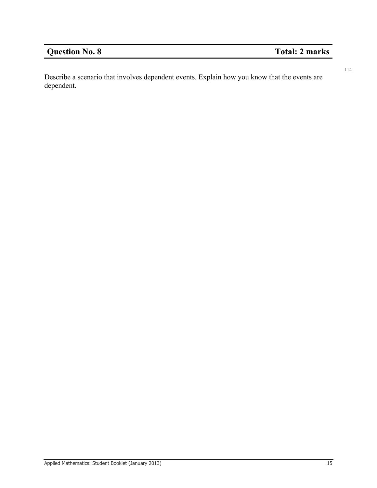# **Question No. 8** Total: 2 marks

114

Describe a scenario that involves dependent events. Explain how you know that the events are dependent.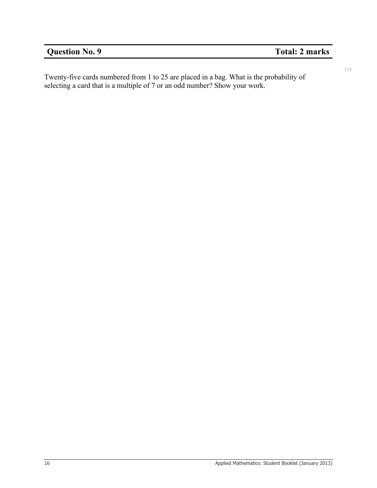115

Twenty-five cards numbered from 1 to 25 are placed in a bag. What is the probability of selecting a card that is a multiple of 7 or an odd number? Show your work.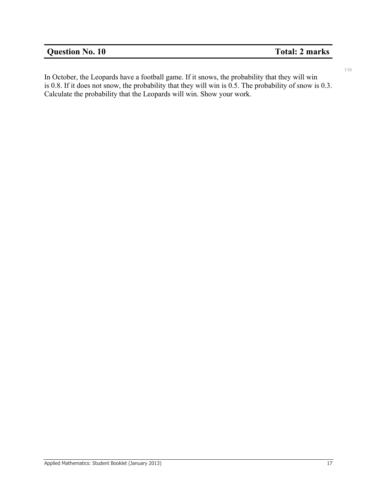# **Question No. 10** Total: 2 marks

116

In October, the Leopards have a football game. If it snows, the probability that they will win is 0.8. If it does not snow, the probability that they will win is 0.5. The probability of snow is 0.3. Calculate the probability that the Leopards will win. Show your work.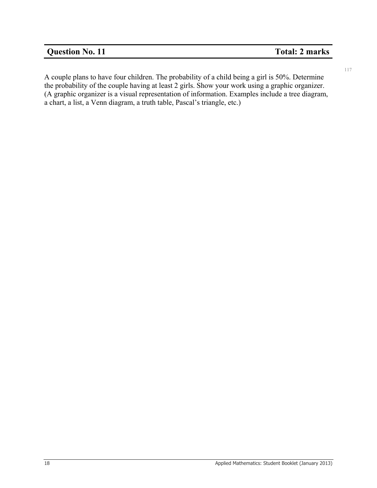### **Question No. 11** Total: 2 marks

117

A couple plans to have four children. The probability of a child being a girl is 50%. Determine the probability of the couple having at least 2 girls. Show your work using a graphic organizer. (A graphic organizer is a visual representation of information. Examples include a tree diagram, a chart, a list, a Venn diagram, a truth table, Pascal's triangle, etc.)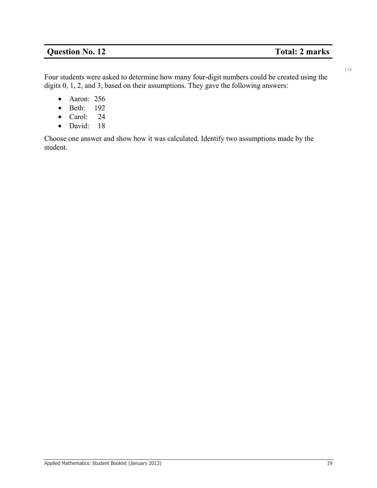### **Question No. 12** Total: 2 marks

118

Four students were asked to determine how many four-digit numbers could be created using the digits 0, 1, 2, and 3, based on their assumptions. They gave the following answers:

- Aaron: 256
- Beth: 192
- Carol: 24
- David: 18

Choose one answer and show how it was calculated. Identify two assumptions made by the student.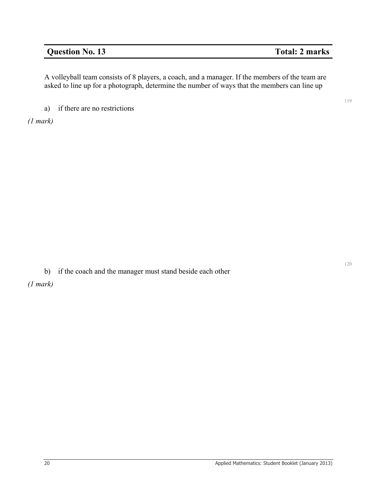### **Question No. 13** Total: 2 marks

A volleyball team consists of 8 players, a coach, and a manager. If the members of the team are asked to line up for a photograph, determine the number of ways that the members can line up

a) if there are no restrictions

*(1 mark)* 

b) if the coach and the manager must stand beside each other

*(1 mark)* 

120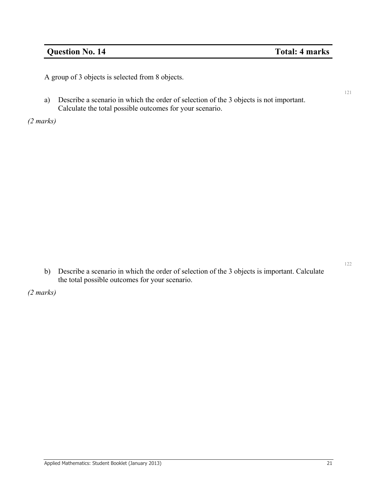### **Question No. 14** Total: 4 marks

A group of 3 objects is selected from 8 objects.

a) Describe a scenario in which the order of selection of the 3 objects is not important. Calculate the total possible outcomes for your scenario.

*(2 marks)* 

b) Describe a scenario in which the order of selection of the 3 objects is important. Calculate the total possible outcomes for your scenario.

*(2 marks)* 

122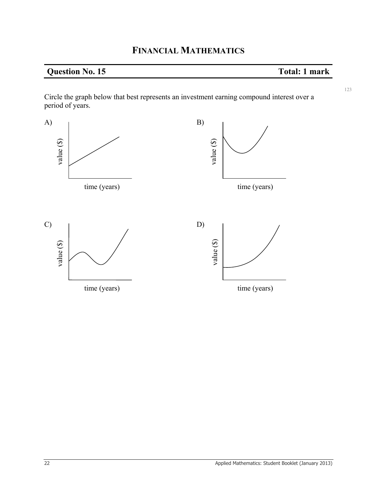# **Question No. 15** Total: 1 mark

Circle the graph below that best represents an investment earning compound interest over a period of years.

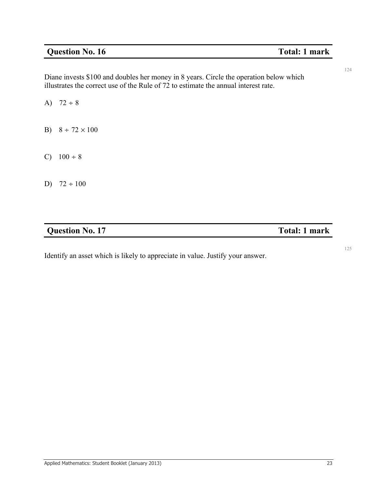### **Question No. 16** Total: 1 mark

124

125

Diane invests \$100 and doubles her money in 8 years. Circle the operation below which illustrates the correct use of the Rule of 72 to estimate the annual interest rate.

A)  $72 \div 8$ 

- B)  $8 \div 72 \times 100$
- C)  $100 \div 8$
- D)  $72 \div 100$

### **Question No. 17** Total: 1 mark

Identify an asset which is likely to appreciate in value. Justify your answer.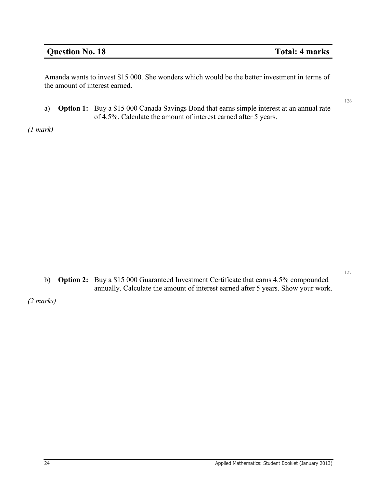### **Question No. 18** Total: 4 marks

Amanda wants to invest \$15 000. She wonders which would be the better investment in terms of the amount of interest earned.

a) **Option 1:** Buy a \$15 000 Canada Savings Bond that earns simple interest at an annual rate of 4.5%. Calculate the amount of interest earned after 5 years.

*(1 mark)* 

b) **Option 2:** Buy a \$15 000 Guaranteed Investment Certificate that earns 4.5% compounded annually. Calculate the amount of interest earned after 5 years. Show your work.

*(2 marks)* 

126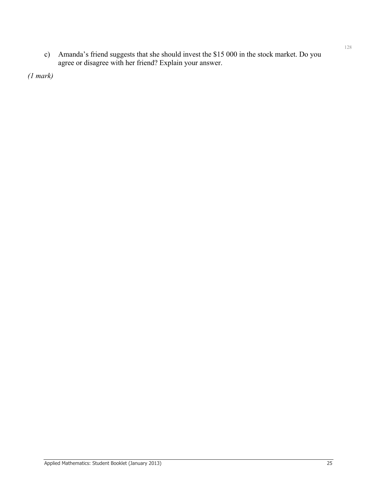c) Amanda's friend suggests that she should invest the \$15 000 in the stock market. Do you agree or disagree with her friend? Explain your answer.

*(1 mark)*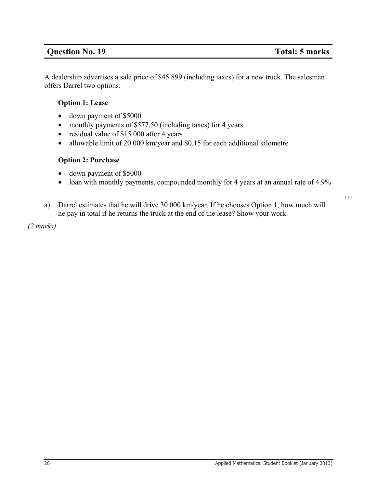### **Question No. 19** Total: 5 marks

129

A dealership advertises a sale price of \$45 899 (including taxes) for a new truck. The salesman offers Darrel two options:

### **Option 1: Lease**

- down payment of \$5000
- monthly payments of \$577.50 (including taxes) for 4 years
- residual value of \$15 000 after 4 years
- allowable limit of 20 000 km/year and \$0.15 for each additional kilometre

### **Option 2: Purchase**

- down payment of \$5000
- loan with monthly payments, compounded monthly for 4 years at an annual rate of 4.9%
- a) Darrel estimates that he will drive 30 000 km/year. If he chooses Option 1, how much will he pay in total if he returns the truck at the end of the lease? Show your work.

*(2 marks)*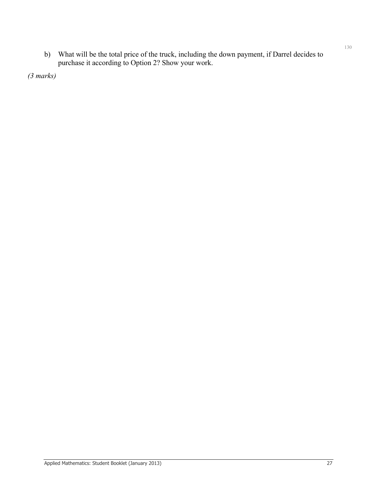b) What will be the total price of the truck, including the down payment, if Darrel decides to purchase it according to Option 2? Show your work.

*(3 marks)*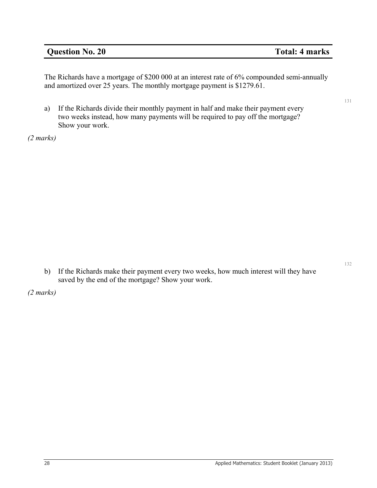### **Question No. 20** Total: 4 marks

The Richards have a mortgage of \$200 000 at an interest rate of 6% compounded semi-annually and amortized over 25 years. The monthly mortgage payment is \$1279.61.

a) If the Richards divide their monthly payment in half and make their payment every two weeks instead, how many payments will be required to pay off the mortgage? Show your work.

*(2 marks)* 

b) If the Richards make their payment every two weeks, how much interest will they have saved by the end of the mortgage? Show your work.

*(2 marks)* 

132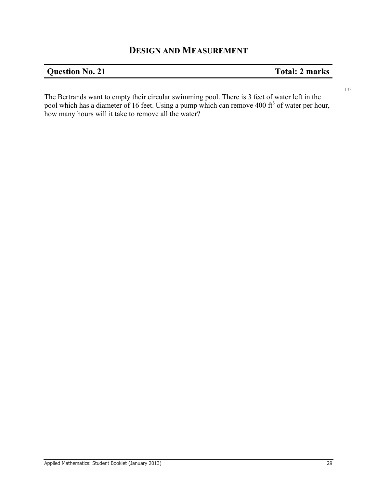## **DESIGN AND MEASUREMENT**

### **Question No. 21** Total: 2 marks

The Bertrands want to empty their circular swimming pool. There is 3 feet of water left in the pool which has a diameter of 16 feet. Using a pump which can remove 400  $\text{ft}^3$  of water per hour, how many hours will it take to remove all the water?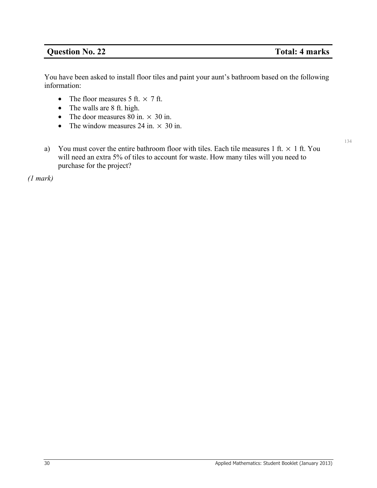### **Question No. 22** Total: 4 marks

134

You have been asked to install floor tiles and paint your aunt's bathroom based on the following information:

- The floor measures 5 ft.  $\times$  7 ft.
- The walls are 8 ft. high.
- The door measures 80 in.  $\times$  30 in.
- The window measures 24 in.  $\times$  30 in.
- a) You must cover the entire bathroom floor with tiles. Each tile measures 1 ft.  $\times$  1 ft. You will need an extra 5% of tiles to account for waste. How many tiles will you need to purchase for the project?

*(1 mark)*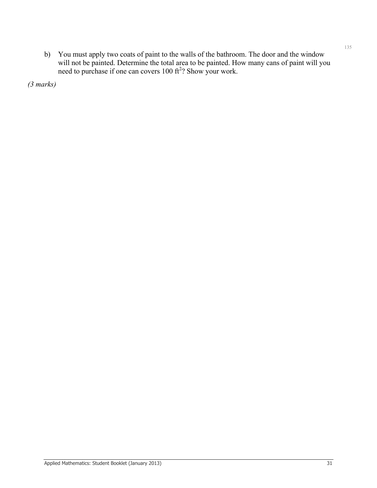b) You must apply two coats of paint to the walls of the bathroom. The door and the window will not be painted. Determine the total area to be painted. How many cans of paint will you need to purchase if one can covers  $100 \text{ ft}^2$ ? Show your work.

*(3 marks)*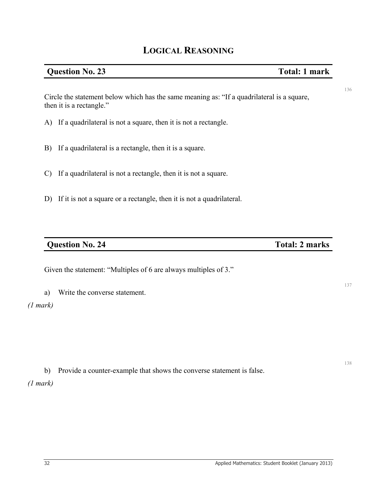### **Question No. 23** Total: 1 mark

Circle the statement below which has the same meaning as: "If a quadrilateral is a square, then it is a rectangle."

- A) If a quadrilateral is not a square, then it is not a rectangle.
- B) If a quadrilateral is a rectangle, then it is a square.
- C) If a quadrilateral is not a rectangle, then it is not a square.
- D) If it is not a square or a rectangle, then it is not a quadrilateral.

### **Question No. 24** Total: 2 marks

Given the statement: "Multiples of 6 are always multiples of 3."

a) Write the converse statement.

### *(1 mark)*

b) Provide a counter-example that shows the converse statement is false.

*(1 mark)* 

137

136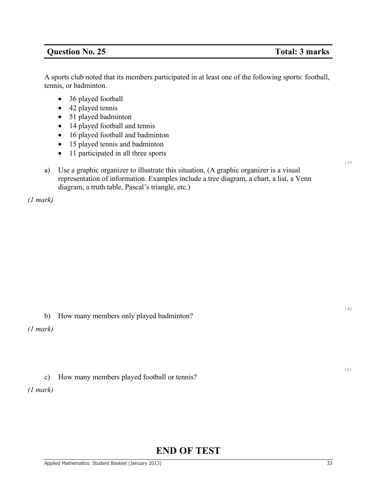### **Question No. 25** Total: 3 marks

A sports club noted that its members participated in at least one of the following sports: football, tennis, or badminton.

- 36 played football
- 42 played tennis
- 51 played badminton
- 14 played football and tennis
- 16 played football and badminton
- 15 played tennis and badminton
- 11 participated in all three sports
- a) Use a graphic organizer to illustrate this situation. (A graphic organizer is a visual representation of information. Examples include a tree diagram, a chart, a list, a Venn diagram, a truth table, Pascal's triangle, etc.)

*(1 mark)* 

b) How many members only played badminton?

*(1 mark)* 

c) How many members played football or tennis?

*(1 mark)* 

# **END OF TEST**

140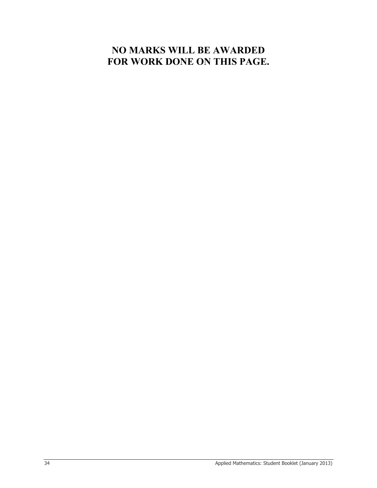# **NO MARKS WILL BE AWARDED FOR WORK DONE ON THIS PAGE.**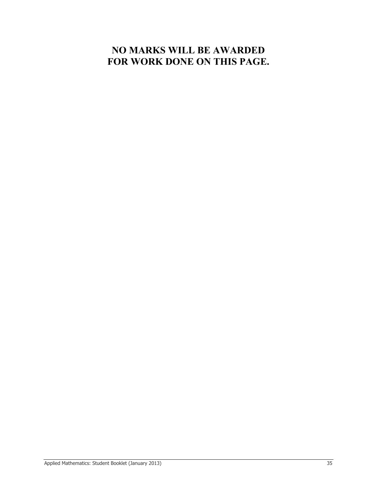# **NO MARKS WILL BE AWARDED FOR WORK DONE ON THIS PAGE.**